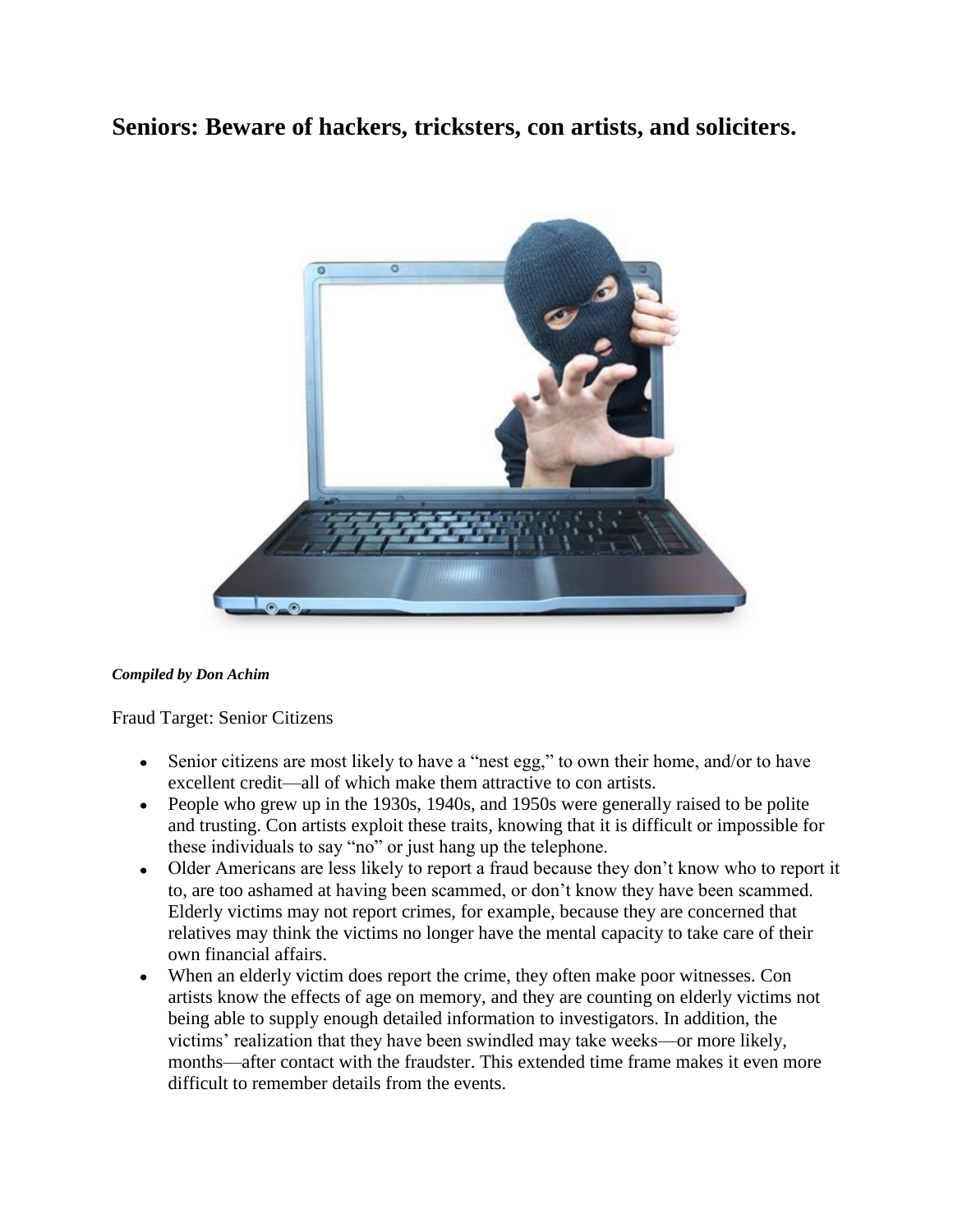# **Seniors: Beware of hackers, tricksters, con artists, and soliciters.**



#### *Compiled by Don Achim*

Fraud Target: Senior Citizens

- Senior citizens are most likely to have a "nest egg," to own their home, and/or to have excellent credit—all of which make them attractive to con artists.
- People who grew up in the 1930s, 1940s, and 1950s were generally raised to be polite and trusting. Con artists exploit these traits, knowing that it is difficult or impossible for these individuals to say "no" or just hang up the telephone.
- Older Americans are less likely to report a fraud because they don't know who to report it to, are too ashamed at having been scammed, or don't know they have been scammed. Elderly victims may not report crimes, for example, because they are concerned that relatives may think the victims no longer have the mental capacity to take care of their own financial affairs.
- When an elderly victim does report the crime, they often make poor witnesses. Con artists know the effects of age on memory, and they are counting on elderly victims not being able to supply enough detailed information to investigators. In addition, the victims' realization that they have been swindled may take weeks—or more likely, months—after contact with the fraudster. This extended time frame makes it even more difficult to remember details from the events.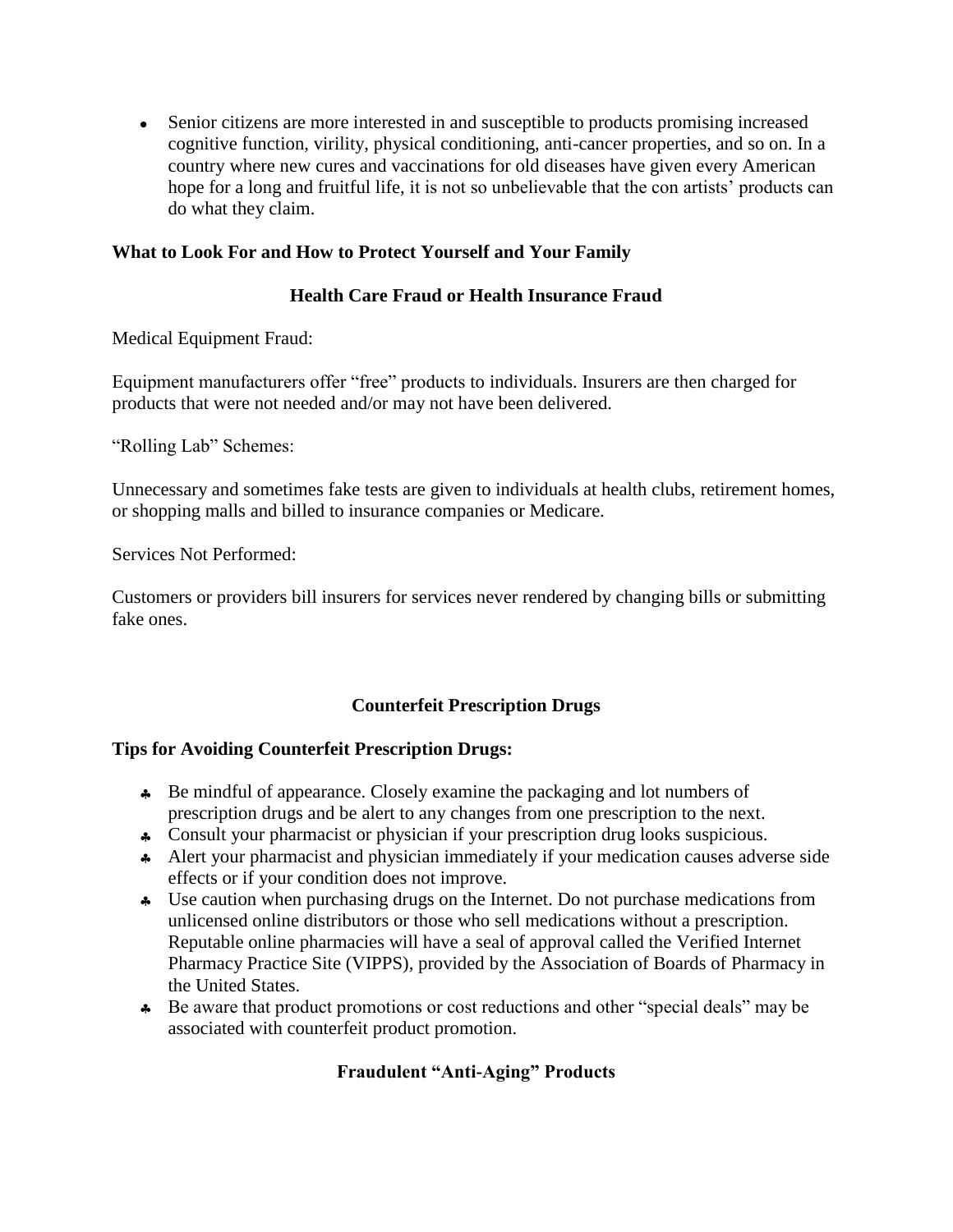Senior citizens are more interested in and susceptible to products promising increased cognitive function, virility, physical conditioning, anti-cancer properties, and so on. In a country where new cures and vaccinations for old diseases have given every American hope for a long and fruitful life, it is not so unbelievable that the con artists' products can do what they claim.

#### **What to Look For and How to Protect Yourself and Your Family**

#### **Health Care Fraud or Health Insurance Fraud**

Medical Equipment Fraud:

Equipment manufacturers offer "free" products to individuals. Insurers are then charged for products that were not needed and/or may not have been delivered.

"Rolling Lab" Schemes:

Unnecessary and sometimes fake tests are given to individuals at health clubs, retirement homes, or shopping malls and billed to insurance companies or Medicare.

Services Not Performed:

Customers or providers bill insurers for services never rendered by changing bills or submitting fake ones.

# **Counterfeit Prescription Drugs**

#### **Tips for Avoiding Counterfeit Prescription Drugs:**

- Be mindful of appearance. Closely examine the packaging and lot numbers of prescription drugs and be alert to any changes from one prescription to the next.
- Consult your pharmacist or physician if your prescription drug looks suspicious.
- Alert your pharmacist and physician immediately if your medication causes adverse side effects or if your condition does not improve.
- Use caution when purchasing drugs on the Internet. Do not purchase medications from unlicensed online distributors or those who sell medications without a prescription. Reputable online pharmacies will have a seal of approval called the Verified Internet Pharmacy Practice Site (VIPPS), provided by the Association of Boards of Pharmacy in the United States.
- Be aware that product promotions or cost reductions and other "special deals" may be associated with counterfeit product promotion.

# **Fraudulent "Anti-Aging" Products**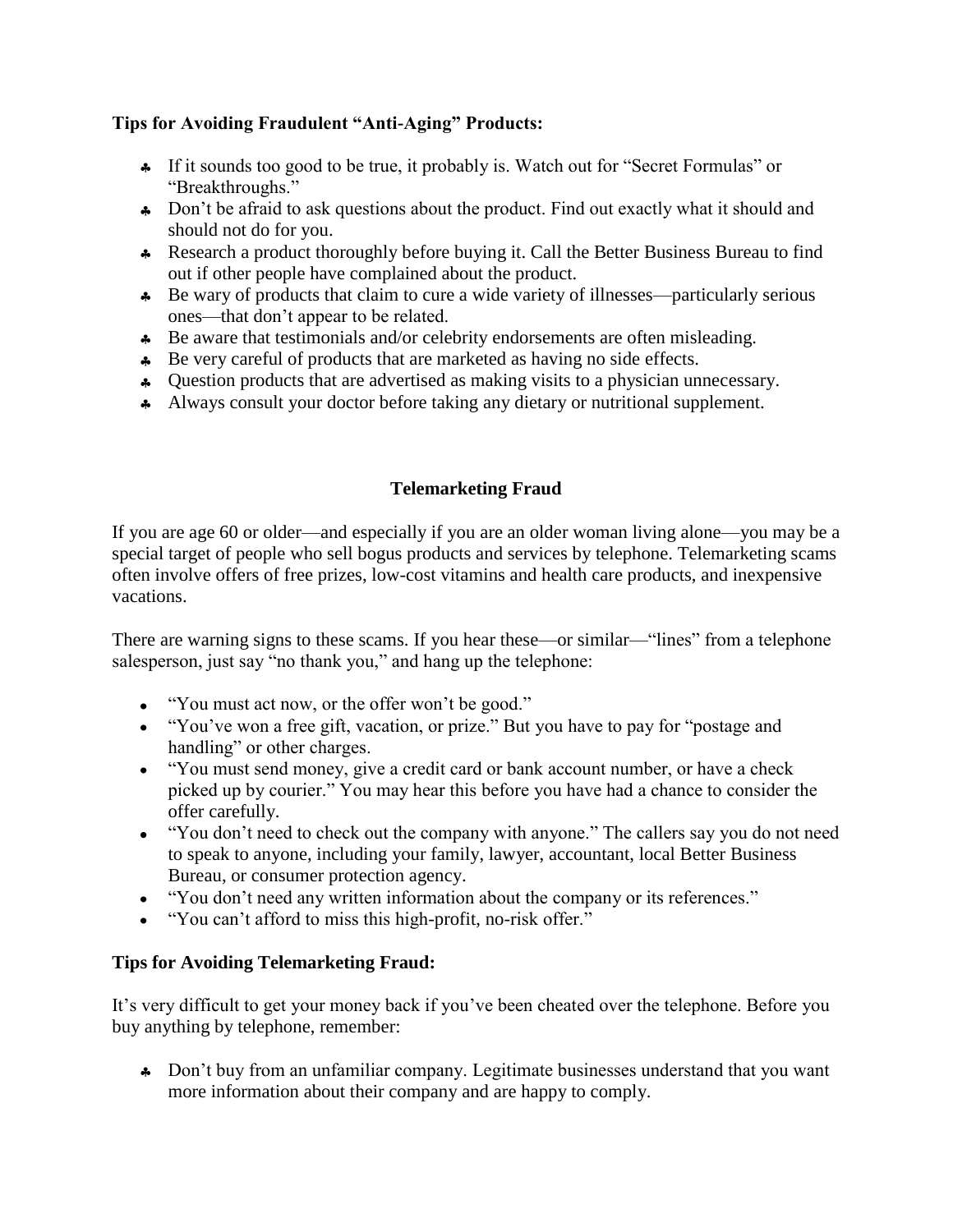### **Tips for Avoiding Fraudulent "Anti-Aging" Products:**

- If it sounds too good to be true, it probably is. Watch out for "Secret Formulas" or "Breakthroughs."
- Don't be afraid to ask questions about the product. Find out exactly what it should and should not do for you.
- \* Research a product thoroughly before buying it. Call the Better Business Bureau to find out if other people have complained about the product.
- Be wary of products that claim to cure a wide variety of illnesses—particularly serious ones—that don't appear to be related.
- Be aware that testimonials and/or celebrity endorsements are often misleading.
- Be very careful of products that are marketed as having no side effects.
- Question products that are advertised as making visits to a physician unnecessary.
- Always consult your doctor before taking any dietary or nutritional supplement.

#### **Telemarketing Fraud**

If you are age 60 or older—and especially if you are an older woman living alone—you may be a special target of people who sell bogus products and services by telephone. Telemarketing scams often involve offers of free prizes, low-cost vitamins and health care products, and inexpensive vacations.

There are warning signs to these scams. If you hear these—or similar—"lines" from a telephone salesperson, just say "no thank you," and hang up the telephone:

- "You must act now, or the offer won't be good."
- "You've won a free gift, vacation, or prize." But you have to pay for "postage and handling" or other charges.
- "You must send money, give a credit card or bank account number, or have a check picked up by courier." You may hear this before you have had a chance to consider the offer carefully.
- "You don't need to check out the company with anyone." The callers say you do not need to speak to anyone, including your family, lawyer, accountant, local Better Business Bureau, or consumer protection agency.
- "You don't need any written information about the company or its references."
- "You can't afford to miss this high-profit, no-risk offer."

#### **Tips for Avoiding Telemarketing Fraud:**

It's very difficult to get your money back if you've been cheated over the telephone. Before you buy anything by telephone, remember:

• Don't buy from an unfamiliar company. Legitimate businesses understand that you want more information about their company and are happy to comply.